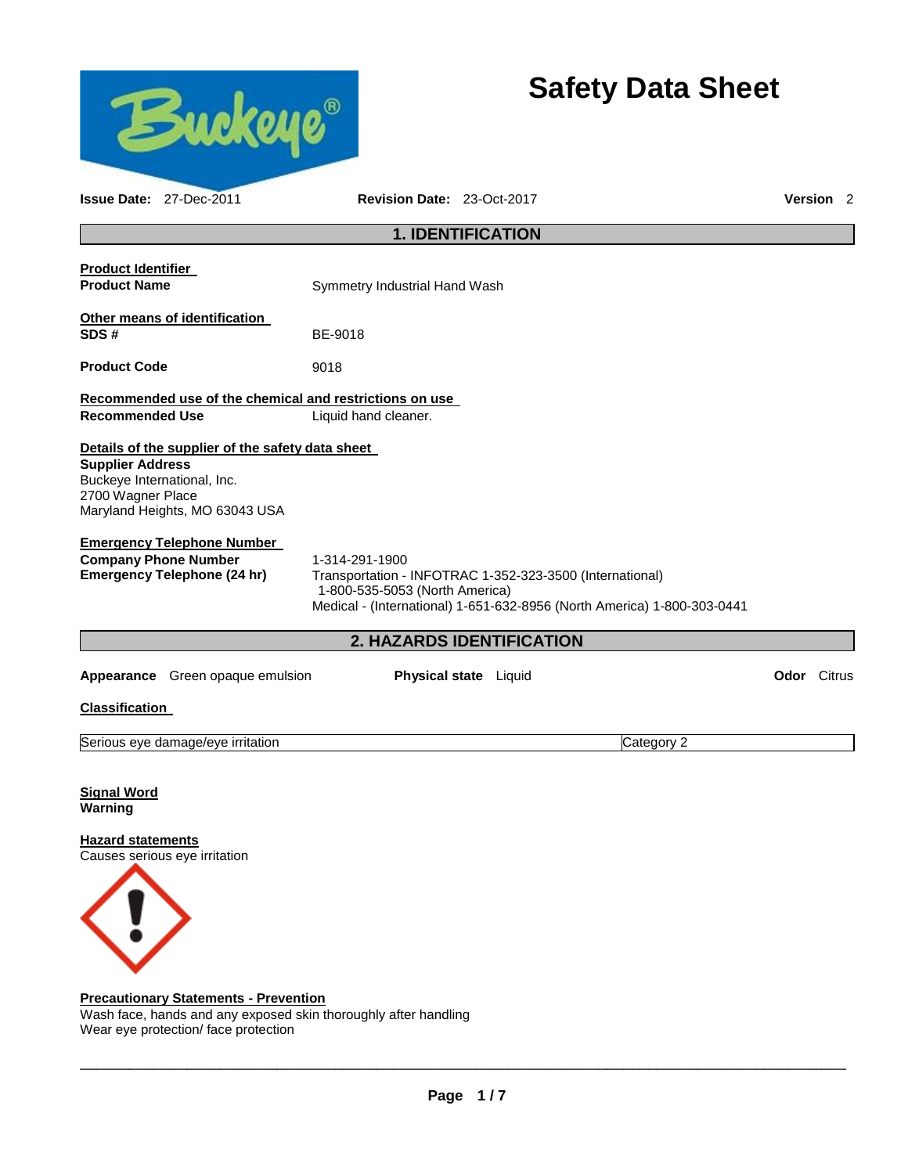

# **Safety Data Sheet**

|                                                  | <b>Issue Date: 27-Dec-2011</b>                                                                                    | Revision Date: 23-Oct-2017                                                                                                                                                              |  |            |                    | <b>Version</b> 2 |  |
|--------------------------------------------------|-------------------------------------------------------------------------------------------------------------------|-----------------------------------------------------------------------------------------------------------------------------------------------------------------------------------------|--|------------|--------------------|------------------|--|
|                                                  |                                                                                                                   | <b>1. IDENTIFICATION</b>                                                                                                                                                                |  |            |                    |                  |  |
| <b>Product Identifier</b><br><b>Product Name</b> |                                                                                                                   | Symmetry Industrial Hand Wash                                                                                                                                                           |  |            |                    |                  |  |
| SDS#                                             | Other means of identification                                                                                     | BE-9018                                                                                                                                                                                 |  |            |                    |                  |  |
| <b>Product Code</b>                              |                                                                                                                   | 9018                                                                                                                                                                                    |  |            |                    |                  |  |
|                                                  |                                                                                                                   | Recommended use of the chemical and restrictions on use                                                                                                                                 |  |            |                    |                  |  |
| <b>Recommended Use</b>                           |                                                                                                                   | Liquid hand cleaner.                                                                                                                                                                    |  |            |                    |                  |  |
| <b>Supplier Address</b><br>2700 Wagner Place     | Details of the supplier of the safety data sheet<br>Buckeye International, Inc.<br>Maryland Heights, MO 63043 USA |                                                                                                                                                                                         |  |            |                    |                  |  |
|                                                  | <b>Emergency Telephone Number</b><br><b>Company Phone Number</b><br><b>Emergency Telephone (24 hr)</b>            | 1-314-291-1900<br>Transportation - INFOTRAC 1-352-323-3500 (International)<br>1-800-535-5053 (North America)<br>Medical - (International) 1-651-632-8956 (North America) 1-800-303-0441 |  |            |                    |                  |  |
|                                                  |                                                                                                                   | 2. HAZARDS IDENTIFICATION                                                                                                                                                               |  |            |                    |                  |  |
|                                                  | Appearance Green opaque emulsion                                                                                  | <b>Physical state</b> Liquid                                                                                                                                                            |  |            | <b>Odor</b> Citrus |                  |  |
| <b>Classification</b>                            |                                                                                                                   |                                                                                                                                                                                         |  |            |                    |                  |  |
|                                                  | Serious eye damage/eye irritation                                                                                 |                                                                                                                                                                                         |  | Category 2 |                    |                  |  |
| <b>Signal Word</b><br>Warning                    |                                                                                                                   |                                                                                                                                                                                         |  |            |                    |                  |  |
| <b>Hazard statements</b>                         | Causes serious eye irritation                                                                                     |                                                                                                                                                                                         |  |            |                    |                  |  |
|                                                  |                                                                                                                   |                                                                                                                                                                                         |  |            |                    |                  |  |

# **Precautionary Statements - Prevention**

Wash face, hands and any exposed skin thoroughly after handling Wear eye protection/ face protection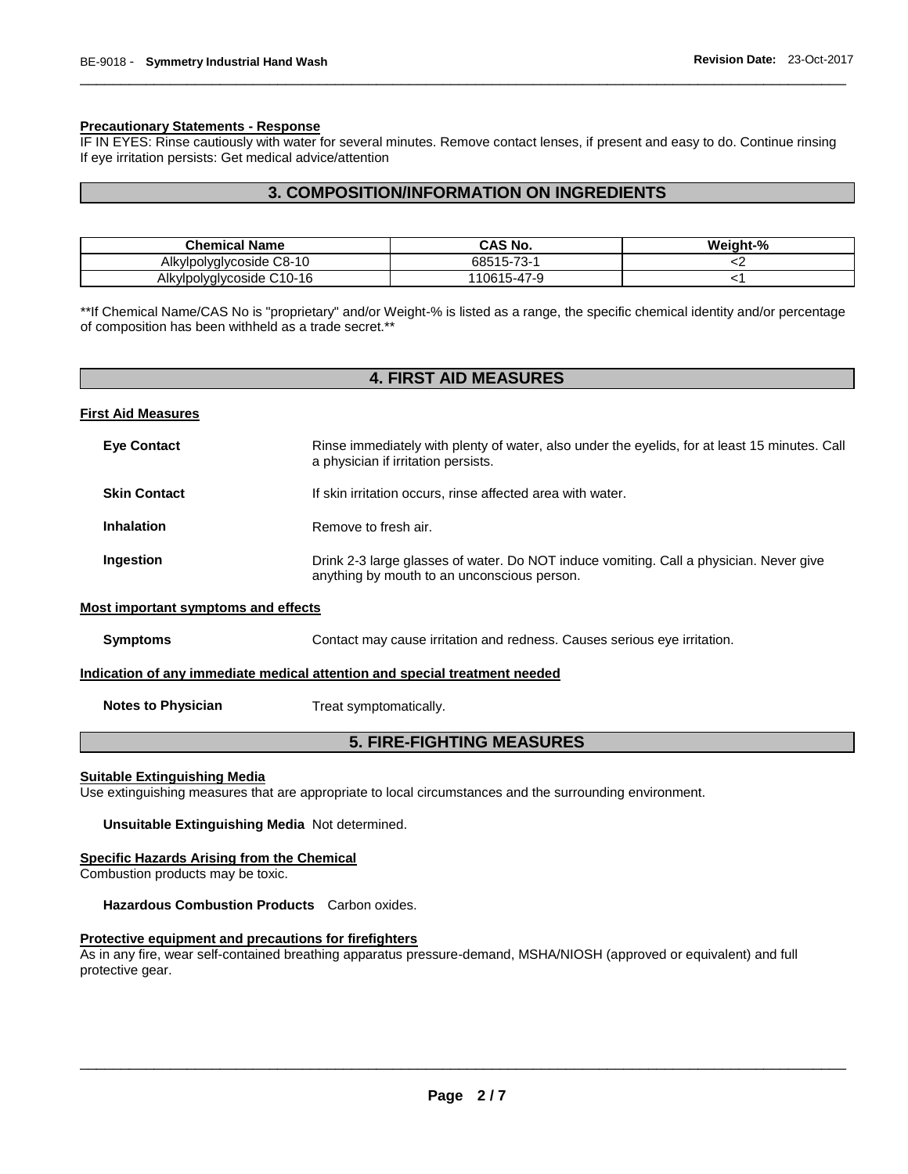#### **Precautionary Statements - Response**

IF IN EYES: Rinse cautiously with water for several minutes. Remove contact lenses, if present and easy to do. Continue rinsing If eye irritation persists: Get medical advice/attention

\_\_\_\_\_\_\_\_\_\_\_\_\_\_\_\_\_\_\_\_\_\_\_\_\_\_\_\_\_\_\_\_\_\_\_\_\_\_\_\_\_\_\_\_\_\_\_\_\_\_\_\_\_\_\_\_\_\_\_\_\_\_\_\_\_\_\_\_\_\_\_\_\_\_\_\_\_\_\_\_\_\_\_\_\_\_\_\_\_\_\_\_\_

# **3. COMPOSITION/INFORMATION ON INGREDIENTS**

| <b>Chemical Name</b>      | <b>CAS No.</b>                               | Weight-% |
|---------------------------|----------------------------------------------|----------|
| Alkylpolyglycoside C8-10  | 68515-73-<br>' -ت                            |          |
| Alkylpolyglycoside C10-16 | $\rightarrow$<br>15-47-9<br>106 <sub>1</sub> |          |

\*\*If Chemical Name/CAS No is "proprietary" and/or Weight-% is listed as a range, the specific chemical identity and/or percentage of composition has been withheld as a trade secret.\*\*

| <b>4. FIRST AID MEASURES</b>                                               |                                                                                                                                       |  |  |  |
|----------------------------------------------------------------------------|---------------------------------------------------------------------------------------------------------------------------------------|--|--|--|
| <b>First Aid Measures</b>                                                  |                                                                                                                                       |  |  |  |
| <b>Eye Contact</b>                                                         | Rinse immediately with plenty of water, also under the eyelids, for at least 15 minutes. Call<br>a physician if irritation persists.  |  |  |  |
| <b>Skin Contact</b>                                                        | If skin irritation occurs, rinse affected area with water.                                                                            |  |  |  |
| <b>Inhalation</b>                                                          | Remove to fresh air.                                                                                                                  |  |  |  |
| Ingestion                                                                  | Drink 2-3 large glasses of water. Do NOT induce vomiting. Call a physician. Never give<br>anything by mouth to an unconscious person. |  |  |  |
| <b>Most important symptoms and effects</b>                                 |                                                                                                                                       |  |  |  |
| <b>Symptoms</b>                                                            | Contact may cause irritation and redness. Causes serious eye irritation.                                                              |  |  |  |
| Indication of any immediate medical attention and special treatment needed |                                                                                                                                       |  |  |  |
| <b>Notes to Physician</b>                                                  | Treat symptomatically.                                                                                                                |  |  |  |
| <b>5. FIRE-FIGHTING MEASURES</b>                                           |                                                                                                                                       |  |  |  |

#### **Suitable Extinguishing Media**

Use extinguishing measures that are appropriate to local circumstances and the surrounding environment.

**Unsuitable Extinguishing Media** Not determined.

#### **Specific Hazards Arising from the Chemical**

Combustion products may be toxic.

**Hazardous Combustion Products** Carbon oxides.

#### **Protective equipment and precautions for firefighters**

As in any fire, wear self-contained breathing apparatus pressure-demand, MSHA/NIOSH (approved or equivalent) and full protective gear.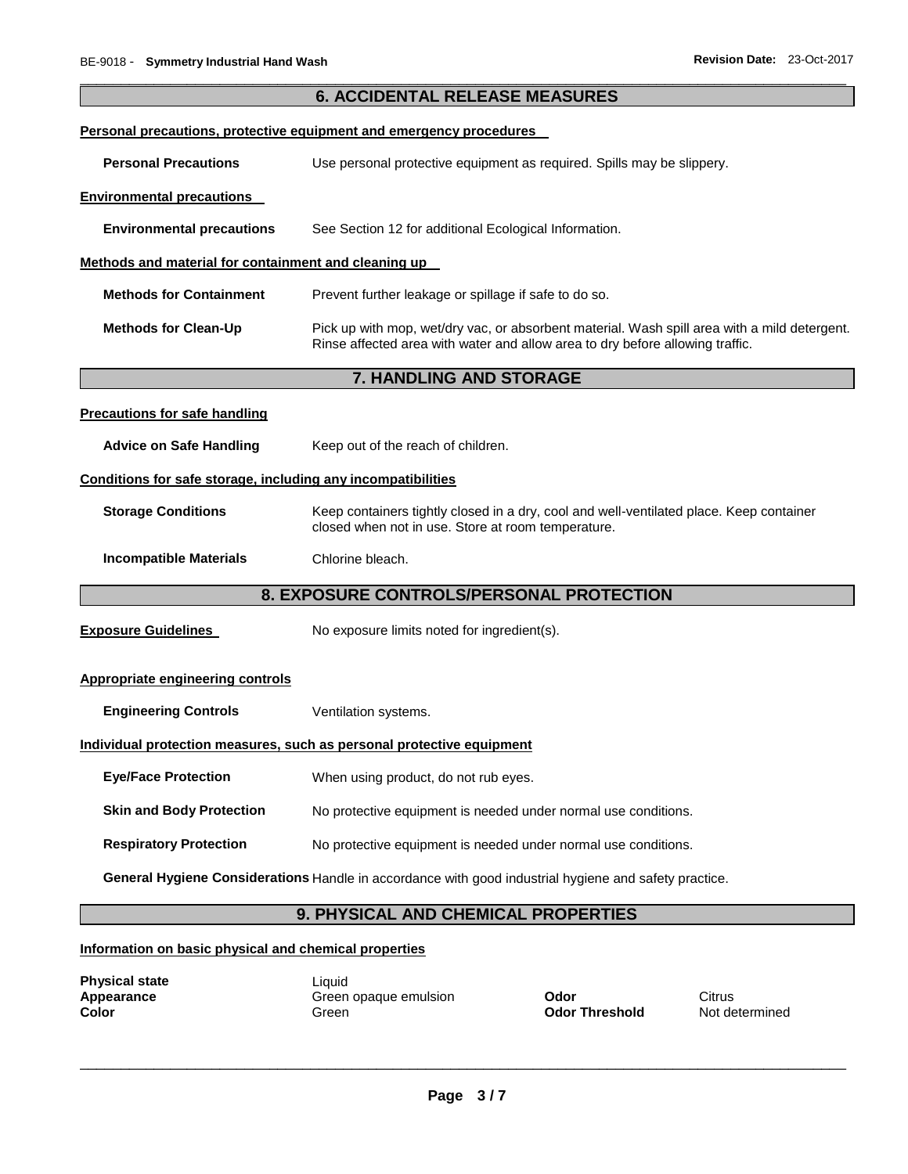|                                                                                                       | <b>6. ACCIDENTAL RELEASE MEASURES</b>                                                                                                                                         |                               |                          |  |  |  |  |
|-------------------------------------------------------------------------------------------------------|-------------------------------------------------------------------------------------------------------------------------------------------------------------------------------|-------------------------------|--------------------------|--|--|--|--|
|                                                                                                       | Personal precautions, protective equipment and emergency procedures                                                                                                           |                               |                          |  |  |  |  |
| <b>Personal Precautions</b><br>Use personal protective equipment as required. Spills may be slippery. |                                                                                                                                                                               |                               |                          |  |  |  |  |
| <b>Environmental precautions</b>                                                                      |                                                                                                                                                                               |                               |                          |  |  |  |  |
| <b>Environmental precautions</b>                                                                      | See Section 12 for additional Ecological Information.                                                                                                                         |                               |                          |  |  |  |  |
| Methods and material for containment and cleaning up                                                  |                                                                                                                                                                               |                               |                          |  |  |  |  |
| <b>Methods for Containment</b>                                                                        | Prevent further leakage or spillage if safe to do so.                                                                                                                         |                               |                          |  |  |  |  |
| <b>Methods for Clean-Up</b>                                                                           | Pick up with mop, wet/dry vac, or absorbent material. Wash spill area with a mild detergent.<br>Rinse affected area with water and allow area to dry before allowing traffic. |                               |                          |  |  |  |  |
|                                                                                                       | <b>7. HANDLING AND STORAGE</b>                                                                                                                                                |                               |                          |  |  |  |  |
| <b>Precautions for safe handling</b>                                                                  |                                                                                                                                                                               |                               |                          |  |  |  |  |
| <b>Advice on Safe Handling</b>                                                                        | Keep out of the reach of children.                                                                                                                                            |                               |                          |  |  |  |  |
| Conditions for safe storage, including any incompatibilities                                          |                                                                                                                                                                               |                               |                          |  |  |  |  |
| <b>Storage Conditions</b>                                                                             | Keep containers tightly closed in a dry, cool and well-ventilated place. Keep container<br>closed when not in use. Store at room temperature.                                 |                               |                          |  |  |  |  |
| <b>Incompatible Materials</b>                                                                         | Chlorine bleach.                                                                                                                                                              |                               |                          |  |  |  |  |
| 8. EXPOSURE CONTROLS/PERSONAL PROTECTION                                                              |                                                                                                                                                                               |                               |                          |  |  |  |  |
| <b>Exposure Guidelines</b>                                                                            | No exposure limits noted for ingredient(s).                                                                                                                                   |                               |                          |  |  |  |  |
| <b>Appropriate engineering controls</b>                                                               |                                                                                                                                                                               |                               |                          |  |  |  |  |
| <b>Engineering Controls</b>                                                                           | Ventilation systems.                                                                                                                                                          |                               |                          |  |  |  |  |
|                                                                                                       | Individual protection measures, such as personal protective equipment                                                                                                         |                               |                          |  |  |  |  |
| <b>Eye/Face Protection</b>                                                                            | When using product, do not rub eyes.                                                                                                                                          |                               |                          |  |  |  |  |
| <b>Skin and Body Protection</b><br>No protective equipment is needed under normal use conditions.     |                                                                                                                                                                               |                               |                          |  |  |  |  |
| <b>Respiratory Protection</b><br>No protective equipment is needed under normal use conditions.       |                                                                                                                                                                               |                               |                          |  |  |  |  |
| General Hygiene Considerations Handle in accordance with good industrial hygiene and safety practice. |                                                                                                                                                                               |                               |                          |  |  |  |  |
| 9. PHYSICAL AND CHEMICAL PROPERTIES                                                                   |                                                                                                                                                                               |                               |                          |  |  |  |  |
| Information on basic physical and chemical properties                                                 |                                                                                                                                                                               |                               |                          |  |  |  |  |
| <b>Physical state</b><br>Appearance<br><b>Color</b>                                                   | Liquid<br>Green opaque emulsion<br>Green                                                                                                                                      | Odor<br><b>Odor Threshold</b> | Citrus<br>Not determined |  |  |  |  |

\_\_\_\_\_\_\_\_\_\_\_\_\_\_\_\_\_\_\_\_\_\_\_\_\_\_\_\_\_\_\_\_\_\_\_\_\_\_\_\_\_\_\_\_\_\_\_\_\_\_\_\_\_\_\_\_\_\_\_\_\_\_\_\_\_\_\_\_\_\_\_\_\_\_\_\_\_\_\_\_\_\_\_\_\_\_\_\_\_\_\_\_\_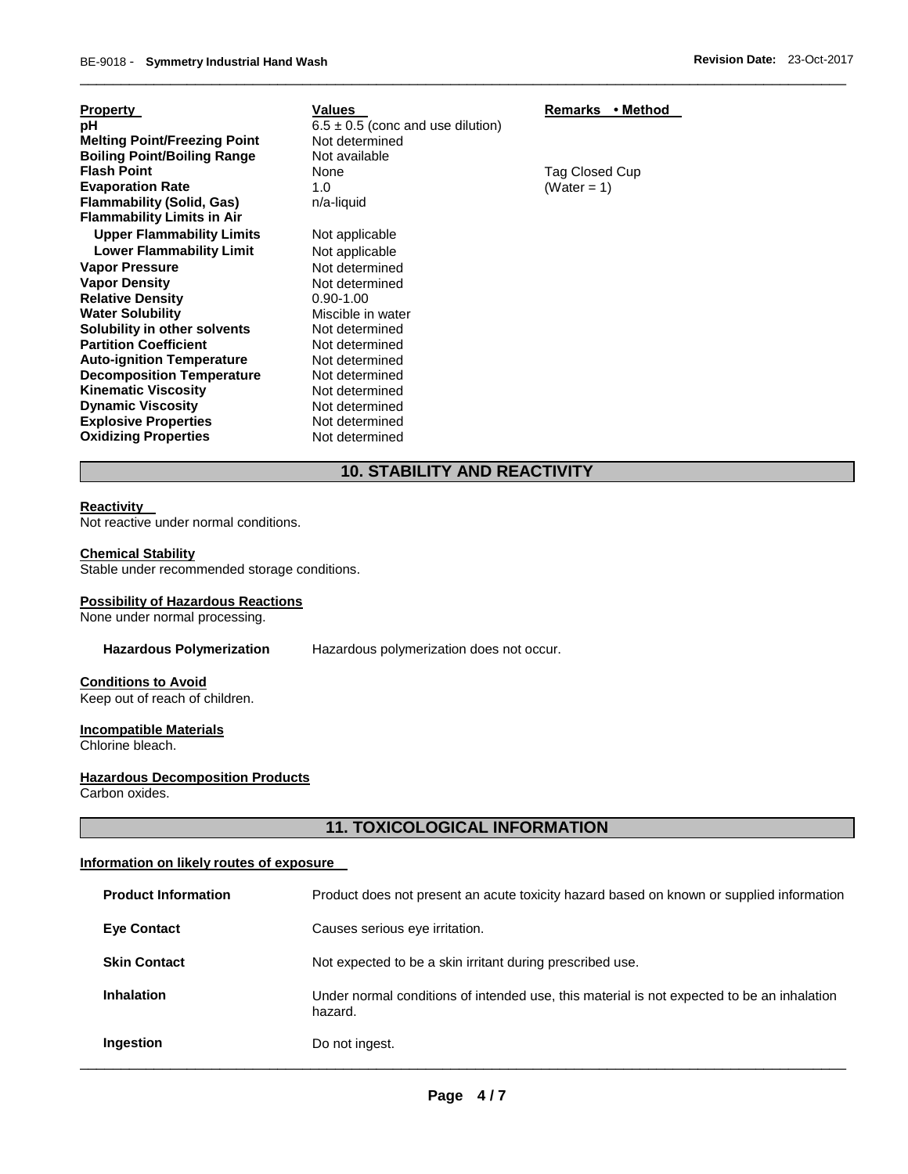| <b>Property</b><br>рH<br><b>Melting Point/Freezing Point</b> | Values<br>$6.5 \pm 0.5$ (conc and use dilution)<br>Not determined | • Method<br>Remarks |
|--------------------------------------------------------------|-------------------------------------------------------------------|---------------------|
| <b>Boiling Point/Boiling Range</b>                           | Not available                                                     |                     |
| <b>Flash Point</b>                                           | None                                                              | Tag Closed Cup      |
| <b>Evaporation Rate</b>                                      | 1.0                                                               | (Water = 1)         |
| <b>Flammability (Solid, Gas)</b>                             | n/a-liquid                                                        |                     |
| <b>Flammability Limits in Air</b>                            |                                                                   |                     |
| <b>Upper Flammability Limits</b>                             | Not applicable                                                    |                     |
| <b>Lower Flammability Limit</b>                              | Not applicable                                                    |                     |
| <b>Vapor Pressure</b>                                        | Not determined                                                    |                     |
| <b>Vapor Density</b>                                         | Not determined                                                    |                     |
| <b>Relative Density</b>                                      | $0.90 - 1.00$                                                     |                     |
| <b>Water Solubility</b>                                      | Miscible in water                                                 |                     |
| Solubility in other solvents                                 | Not determined                                                    |                     |
| <b>Partition Coefficient</b>                                 | Not determined                                                    |                     |
| <b>Auto-ignition Temperature</b>                             | Not determined                                                    |                     |
| <b>Decomposition Temperature</b>                             | Not determined                                                    |                     |
| <b>Kinematic Viscosity</b>                                   | Not determined                                                    |                     |
| <b>Dynamic Viscosity</b>                                     | Not determined                                                    |                     |
| <b>Explosive Properties</b>                                  | Not determined                                                    |                     |
| <b>Oxidizing Properties</b>                                  | Not determined                                                    |                     |

# **10. STABILITY AND REACTIVITY**

\_\_\_\_\_\_\_\_\_\_\_\_\_\_\_\_\_\_\_\_\_\_\_\_\_\_\_\_\_\_\_\_\_\_\_\_\_\_\_\_\_\_\_\_\_\_\_\_\_\_\_\_\_\_\_\_\_\_\_\_\_\_\_\_\_\_\_\_\_\_\_\_\_\_\_\_\_\_\_\_\_\_\_\_\_\_\_\_\_\_\_\_\_

# **Reactivity**

Not reactive under normal conditions.

### **Chemical Stability**

Stable under recommended storage conditions.

#### **Possibility of Hazardous Reactions**

None under normal processing.

**Hazardous Polymerization** Hazardous polymerization does not occur.

# **Conditions to Avoid**

Keep out of reach of children.

**Incompatible Materials**

Chlorine bleach.

# **Hazardous Decomposition Products**

Carbon oxides.

# **11. TOXICOLOGICAL INFORMATION**

### **Information on likely routes of exposure**

| Ingestion                  | Do not ingest.                                                                                        |
|----------------------------|-------------------------------------------------------------------------------------------------------|
| <b>Inhalation</b>          | Under normal conditions of intended use, this material is not expected to be an inhalation<br>hazard. |
| <b>Skin Contact</b>        | Not expected to be a skin irritant during prescribed use.                                             |
| <b>Eve Contact</b>         | Causes serious eye irritation.                                                                        |
| <b>Product Information</b> | Product does not present an acute toxicity hazard based on known or supplied information              |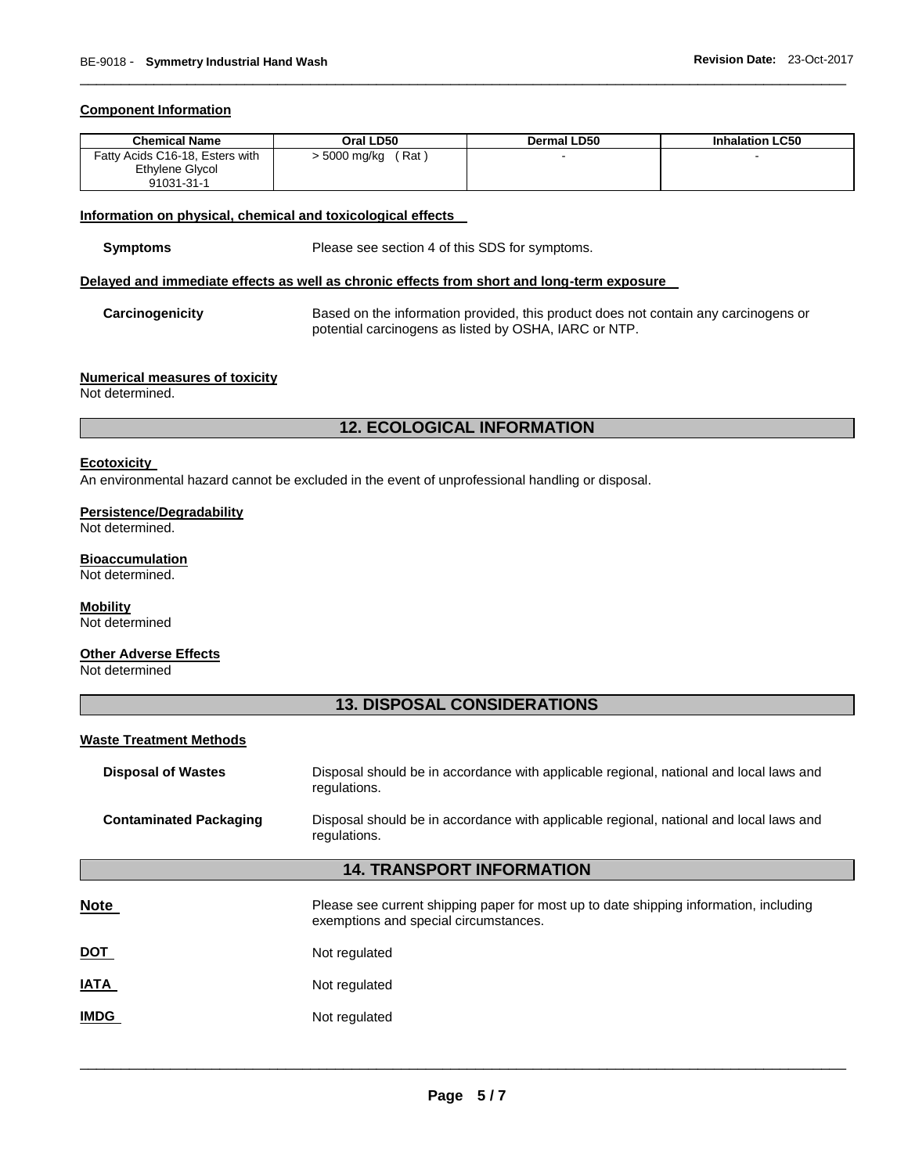#### **Component Information**

| <b>Chemical Name</b>            | Oral LD50         | Dermal LD50 | <b>Inhalation LC50</b> |
|---------------------------------|-------------------|-------------|------------------------|
| Fatty Acids C16-18, Esters with | Rat<br>5000 mg/kg |             |                        |
| Ethylene Glycol                 |                   |             |                        |
| 91031-31-1                      |                   |             |                        |

\_\_\_\_\_\_\_\_\_\_\_\_\_\_\_\_\_\_\_\_\_\_\_\_\_\_\_\_\_\_\_\_\_\_\_\_\_\_\_\_\_\_\_\_\_\_\_\_\_\_\_\_\_\_\_\_\_\_\_\_\_\_\_\_\_\_\_\_\_\_\_\_\_\_\_\_\_\_\_\_\_\_\_\_\_\_\_\_\_\_\_\_\_

#### **Information on physical, chemical and toxicological effects**

Please see section 4 of this SDS for symptoms.

#### **Delayed and immediate effects as well as chronic effects from short and long-term exposure**

**Carcinogenicity** Based on the information provided, this product does not contain any carcinogens or potential carcinogens as listed by OSHA, IARC or NTP.

#### **Numerical measures of toxicity**

Not determined.

# **12. ECOLOGICAL INFORMATION**

#### **Ecotoxicity**

An environmental hazard cannot be excluded in the event of unprofessional handling or disposal.

#### **Persistence/Degradability** Not determined.

### **Bioaccumulation**

Not determined.

# **Mobility**

Not determined

#### **Other Adverse Effects** Not determined

# **13. DISPOSAL CONSIDERATIONS**

#### **Waste Treatment Methods**

| <b>Disposal of Wastes</b>     | Disposal should be in accordance with applicable regional, national and local laws and<br>regulations.                         |
|-------------------------------|--------------------------------------------------------------------------------------------------------------------------------|
| <b>Contaminated Packaging</b> | Disposal should be in accordance with applicable regional, national and local laws and<br>regulations.                         |
|                               | <b>14. TRANSPORT INFORMATION</b>                                                                                               |
| Note                          | Please see current shipping paper for most up to date shipping information, including<br>exemptions and special circumstances. |
| DOT                           | Not regulated                                                                                                                  |
| IATA                          | Not regulated                                                                                                                  |
| <b>IMDG</b>                   | Not regulated                                                                                                                  |
|                               |                                                                                                                                |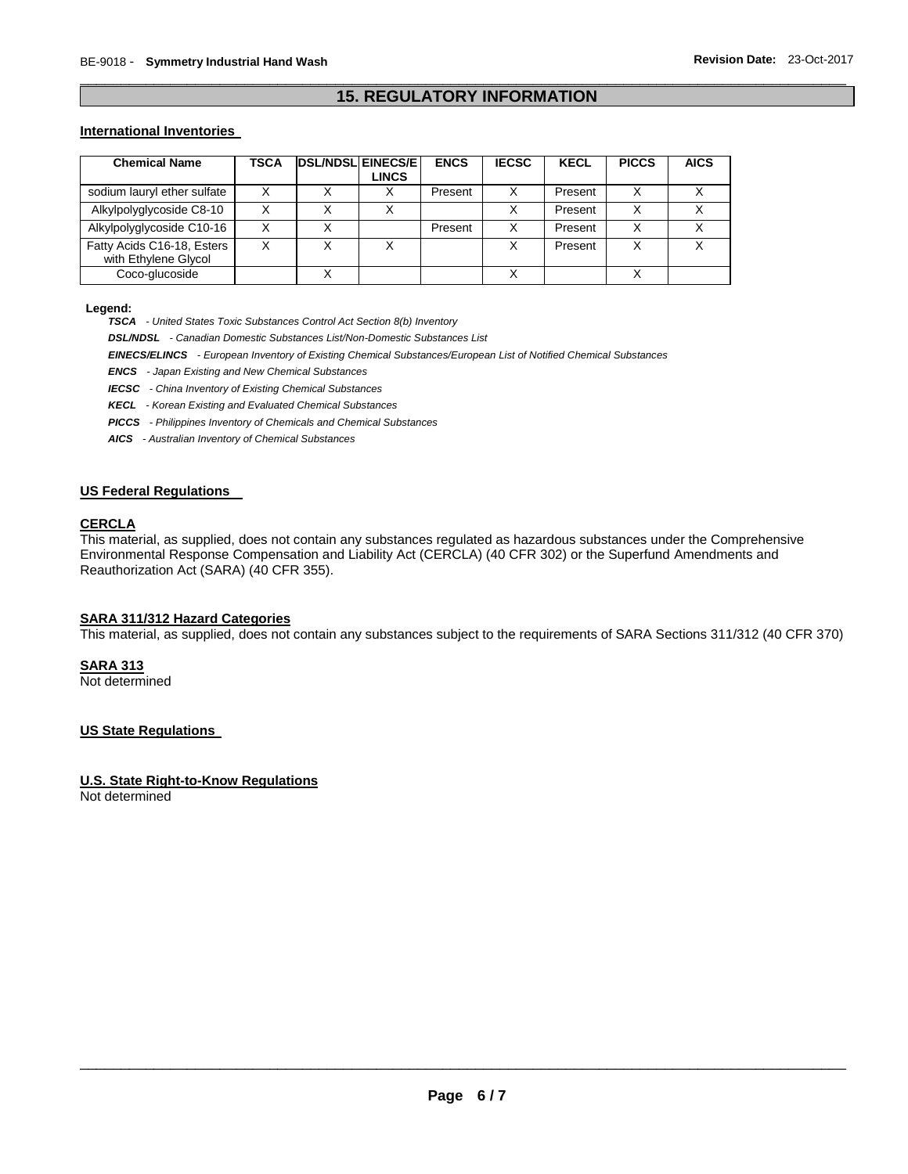# \_\_\_\_\_\_\_\_\_\_\_\_\_\_\_\_\_\_\_\_\_\_\_\_\_\_\_\_\_\_\_\_\_\_\_\_\_\_\_\_\_\_\_\_\_\_\_\_\_\_\_\_\_\_\_\_\_\_\_\_\_\_\_\_\_\_\_\_\_\_\_\_\_\_\_\_\_\_\_\_\_\_\_\_\_\_\_\_\_\_\_\_\_ **15. REGULATORY INFORMATION**

#### **International Inventories**

| <b>Chemical Name</b>                               | TSCA | <b>DSL/NDSL EINECS/E</b> | LINCS | <b>ENCS</b> | <b>IECSC</b> | <b>KECL</b> | <b>PICCS</b> | <b>AICS</b> |
|----------------------------------------------------|------|--------------------------|-------|-------------|--------------|-------------|--------------|-------------|
| sodium lauryl ether sulfate                        |      |                          |       | Present     |              | Present     | x            |             |
| Alkylpolyglycoside C8-10                           |      |                          |       |             |              | Present     | x            |             |
| Alkylpolyglycoside C10-16                          |      |                          |       | Present     |              | Present     | X            |             |
| Fatty Acids C16-18, Esters<br>with Ethylene Glycol |      |                          |       |             |              | Present     | X            |             |
| Coco-glucoside                                     |      |                          |       |             |              |             |              |             |

**Legend:** 

*TSCA - United States Toxic Substances Control Act Section 8(b) Inventory* 

*DSL/NDSL - Canadian Domestic Substances List/Non-Domestic Substances List* 

*EINECS/ELINCS - European Inventory of Existing Chemical Substances/European List of Notified Chemical Substances* 

*ENCS - Japan Existing and New Chemical Substances* 

*IECSC - China Inventory of Existing Chemical Substances* 

*KECL - Korean Existing and Evaluated Chemical Substances* 

*PICCS - Philippines Inventory of Chemicals and Chemical Substances* 

*AICS - Australian Inventory of Chemical Substances* 

### **US Federal Regulations**

#### **CERCLA**

This material, as supplied, does not contain any substances regulated as hazardous substances under the Comprehensive Environmental Response Compensation and Liability Act (CERCLA) (40 CFR 302) or the Superfund Amendments and Reauthorization Act (SARA) (40 CFR 355).

#### **SARA 311/312 Hazard Categories**

This material, as supplied, does not contain any substances subject to the requirements of SARA Sections 311/312 (40 CFR 370)

**SARA 313**

Not determined

#### **US State Regulations**

#### **U.S. State Right-to-Know Regulations**

Not determined